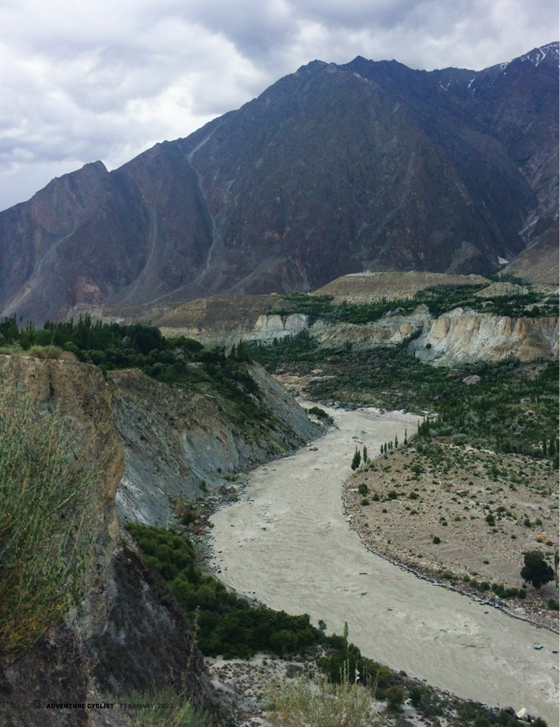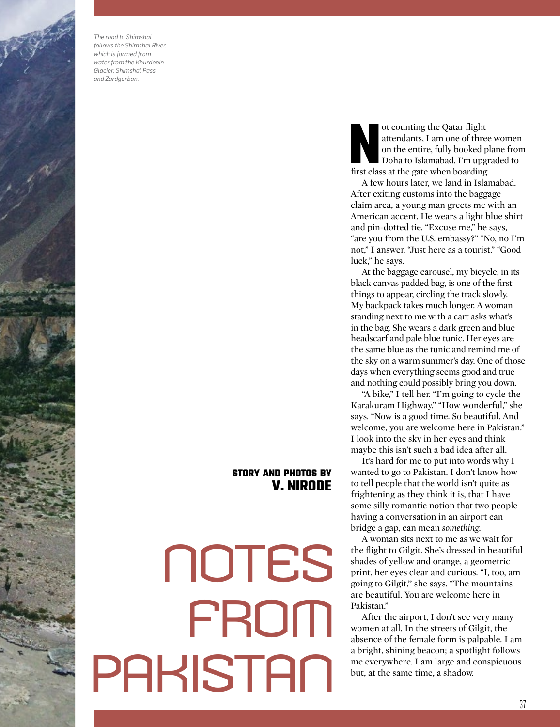*The road to Shimshal follows the Shimshal River, which is formed from water from the Khurdopin Glacier, Shimshal Pass, and Zardgorban.* 

## **story and photos by V. NIRODE**

## NOTES FROM PAKISTAN

ot counting the Qatar flight<br>
attendants, I am one of three<br>
on the entire, fully booked p<br>
Doha to Islamabad. I'm upg<br>
first class at the gate when boarding.<br>
A few hours later we land in Isla ot counting the Qatar flight attendants, I am one of three women on the entire, fully booked plane from Doha to Islamabad. I'm upgraded to

A few hours later, we land in Islamabad. After exiting customs into the baggage claim area, a young man greets me with an American accent. He wears a light blue shirt and pin-dotted tie. "Excuse me," he says, "are you from the U.S. embassy?" "No, no I'm not," I answer. "Just here as a tourist." "Good luck," he says.

At the baggage carousel, my bicycle, in its black canvas padded bag, is one of the first things to appear, circling the track slowly. My backpack takes much longer. A woman standing next to me with a cart asks what's in the bag. She wears a dark green and blue headscarf and pale blue tunic. Her eyes are the same blue as the tunic and remind me of the sky on a warm summer's day. One of those days when everything seems good and true and nothing could possibly bring you down.

"A bike," I tell her. "I'm going to cycle the Karakuram Highway." "How wonderful," she says. "Now is a good time. So beautiful. And welcome, you are welcome here in Pakistan." I look into the sky in her eyes and think maybe this isn't such a bad idea after all.

It's hard for me to put into words why I wanted to go to Pakistan. I don't know how to tell people that the world isn't quite as frightening as they think it is, that I have some silly romantic notion that two people having a conversation in an airport can bridge a gap, can mean *something*.

A woman sits next to me as we wait for the flight to Gilgit. She's dressed in beautiful shades of yellow and orange, a geometric print, her eyes clear and curious. "I, too, am going to Gilgit,'' she says. "The mountains are beautiful. You are welcome here in Pakistan."

After the airport, I don't see very many women at all. In the streets of Gilgit, the absence of the female form is palpable. I am a bright, shining beacon; a spotlight follows me everywhere. I am large and conspicuous but, at the same time, a shadow.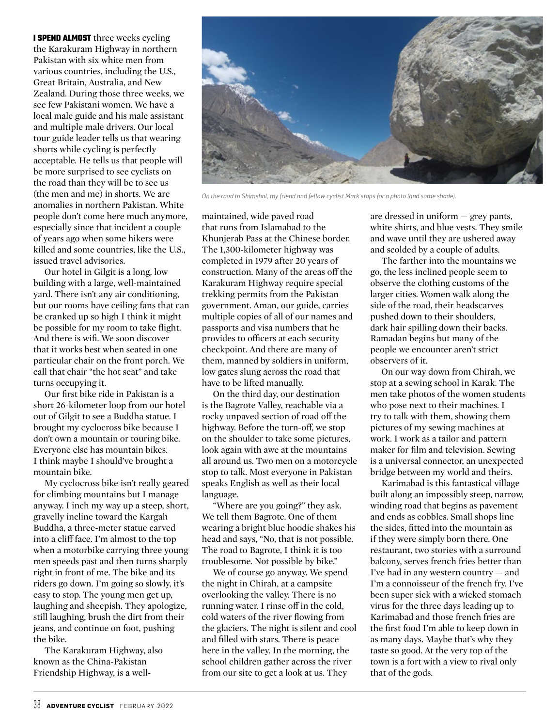**I SPEND ALMOST** three weeks cycling the Karakuram Highway in northern Pakistan with six white men from various countries, including the U.S., Great Britain, Australia, and New Zealand. During those three weeks, we see few Pakistani women. We have a local male guide and his male assistant and multiple male drivers. Our local tour guide leader tells us that wearing shorts while cycling is perfectly acceptable. He tells us that people will be more surprised to see cyclists on the road than they will be to see us (the men and me) in shorts. We are anomalies in northern Pakistan. White people don't come here much anymore, especially since that incident a couple of years ago when some hikers were killed and some countries, like the U.S., issued travel advisories.

Our hotel in Gilgit is a long, low building with a large, well-maintained yard. There isn't any air conditioning, but our rooms have ceiling fans that can be cranked up so high I think it might be possible for my room to take flight. And there is wifi. We soon discover that it works best when seated in one particular chair on the front porch. We call that chair "the hot seat" and take turns occupying it.

Our first bike ride in Pakistan is a short 26-kilometer loop from our hotel out of Gilgit to see a Buddha statue. I brought my cyclocross bike because I don't own a mountain or touring bike. Everyone else has mountain bikes. I think maybe I should've brought a mountain bike.

My cyclocross bike isn't really geared for climbing mountains but I manage anyway. I inch my way up a steep, short, gravelly incline toward the Kargah Buddha, a three-meter statue carved into a cliff face. I'm almost to the top when a motorbike carrying three young men speeds past and then turns sharply right in front of me. The bike and its riders go down. I'm going so slowly, it's easy to stop. The young men get up, laughing and sheepish. They apologize, still laughing, brush the dirt from their jeans, and continue on foot, pushing the bike.

The Karakuram Highway, also known as the China-Pakistan Friendship Highway, is a well-



*On the road to Shimshal, my friend and fellow cyclist Mark stops for a photo (and some shade).*

maintained, wide paved road that runs from Islamabad to the Khunjerab Pass at the Chinese border. The 1,300-kilometer highway was completed in 1979 after 20 years of construction. Many of the areas off the Karakuram Highway require special trekking permits from the Pakistan government. Aman, our guide, carries multiple copies of all of our names and passports and visa numbers that he provides to officers at each security checkpoint. And there are many of them, manned by soldiers in uniform, low gates slung across the road that have to be lifted manually.

On the third day, our destination is the Bagrote Valley, reachable via a rocky unpaved section of road off the highway. Before the turn-off, we stop on the shoulder to take some pictures, look again with awe at the mountains all around us. Two men on a motorcycle stop to talk. Most everyone in Pakistan speaks English as well as their local language.

"Where are you going?" they ask. We tell them Bagrote. One of them wearing a bright blue hoodie shakes his head and says, "No, that is not possible. The road to Bagrote, I think it is too troublesome. Not possible by bike."

We of course go anyway. We spend the night in Chirah, at a campsite overlooking the valley. There is no running water. I rinse off in the cold, cold waters of the river flowing from the glaciers. The night is silent and cool and filled with stars. There is peace here in the valley. In the morning, the school children gather across the river from our site to get a look at us. They

are dressed in uniform — grey pants, white shirts, and blue vests. They smile and wave until they are ushered away and scolded by a couple of adults.

The farther into the mountains we go, the less inclined people seem to observe the clothing customs of the larger cities. Women walk along the side of the road, their headscarves pushed down to their shoulders, dark hair spilling down their backs. Ramadan begins but many of the people we encounter aren't strict observers of it.

On our way down from Chirah, we stop at a sewing school in Karak. The men take photos of the women students who pose next to their machines. I try to talk with them, showing them pictures of my sewing machines at work. I work as a tailor and pattern maker for film and television. Sewing is a universal connector, an unexpected bridge between my world and theirs.

Karimabad is this fantastical village built along an impossibly steep, narrow, winding road that begins as pavement and ends as cobbles. Small shops line the sides, fitted into the mountain as if they were simply born there. One restaurant, two stories with a surround balcony, serves french fries better than I've had in any western country — and I'm a connoisseur of the french fry. I've been super sick with a wicked stomach virus for the three days leading up to Karimabad and those french fries are the first food I'm able to keep down in as many days. Maybe that's why they taste so good. At the very top of the town is a fort with a view to rival only that of the gods.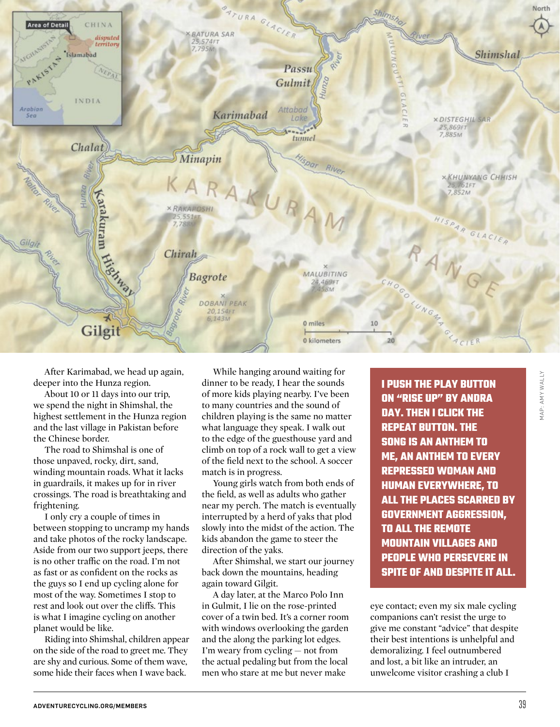

After Karimabad, we head up again, deeper into the Hunza region.

About 10 or 11 days into our trip, we spend the night in Shimshal, the highest settlement in the Hunza region and the last village in Pakistan before the Chinese border.

The road to Shimshal is one of those unpaved, rocky, dirt, sand, winding mountain roads. What it lacks in guardrails, it makes up for in river crossings. The road is breathtaking and frightening.

I only cry a couple of times in between stopping to uncramp my hands and take photos of the rocky landscape. Aside from our two support jeeps, there is no other traffic on the road. I'm not as fast or as confident on the rocks as the guys so I end up cycling alone for most of the way. Sometimes I stop to rest and look out over the cliffs. This is what I imagine cycling on another planet would be like.

Riding into Shimshal, children appear on the side of the road to greet me. They are shy and curious. Some of them wave, some hide their faces when I wave back.

While hanging around waiting for dinner to be ready, I hear the sounds of more kids playing nearby. I've been to many countries and the sound of children playing is the same no matter what language they speak. I walk out to the edge of the guesthouse yard and climb on top of a rock wall to get a view of the field next to the school. A soccer match is in progress.

Young girls watch from both ends of the field, as well as adults who gather near my perch. The match is eventually interrupted by a herd of yaks that plod slowly into the midst of the action. The kids abandon the game to steer the direction of the yaks.

After Shimshal, we start our journey back down the mountains, heading again toward Gilgit.

A day later, at the Marco Polo Inn in Gulmit, I lie on the rose-printed cover of a twin bed. It's a corner room with windows overlooking the garden and the along the parking lot edges. I'm weary from cycling — not from the actual pedaling but from the local men who stare at me but never make

**I PUSH THE PLAY BUTTON ON "RISE UP" BY ANDRA DAY. THEN I CLICK THE REPEAT BUTTON. THE SONG IS AN ANTHEM TO ME, AN ANTHEM TO EVERY REPRESSED WOMAN AND HUMAN EVERYWHERE, TO ALL THE PLACES SCARRED BY GOVERNMENT AGGRESSION, TO ALL THE REMOTE MOUNTAIN VILLAGES AND PEOPLE WHO PERSEVERE IN SPITE OF AND DESPITE IT ALL.**

eye contact; even my six male cycling companions can't resist the urge to give me constant "advice" that despite their best intentions is unhelpful and demoralizing. I feel outnumbered and lost, a bit like an intruder, an unwelcome visitor crashing a club I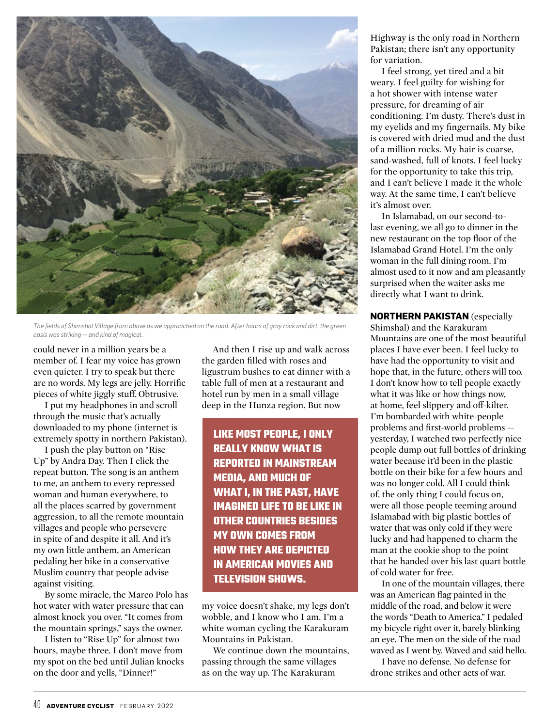

*The fields of Shimshal Village from above as we approached on the road. After hours of gray rock and dirt, the green oasis was striking — and kind of magical.*

could never in a million years be a member of. I fear my voice has grown even quieter. I try to speak but there are no words. My legs are jelly. Horrific pieces of white jiggly stuff. Obtrusive.

I put my headphones in and scroll through the music that's actually downloaded to my phone (internet is extremely spotty in northern Pakistan).

I push the play button on "Rise Up" by Andra Day. Then I click the repeat button. The song is an anthem to me, an anthem to every repressed woman and human everywhere, to all the places scarred by government aggression, to all the remote mountain villages and people who persevere in spite of and despite it all. And it's my own little anthem, an American pedaling her bike in a conservative Muslim country that people advise against visiting.

By some miracle, the Marco Polo has hot water with water pressure that can almost knock you over. "It comes from the mountain springs," says the owner.

I listen to "Rise Up" for almost two hours, maybe three. I don't move from my spot on the bed until Julian knocks on the door and yells, "Dinner!"

And then I rise up and walk across the garden filled with roses and ligustrum bushes to eat dinner with a table full of men at a restaurant and hotel run by men in a small village deep in the Hunza region. But now

**LIKE MOST PEOPLE, I ONLY REALLY KNOW WHAT IS REPORTED IN MAINSTREAM MEDIA, AND MUCH OF WHAT I, IN THE PAST, HAVE IMAGINED LIFE TO BE LIKE IN OTHER COUNTRIES BESIDES MY OWN COMES FROM HOW THEY ARE DEPICTED IN AMERICAN MOVIES AND TELEVISION SHOWS.** 

my voice doesn't shake, my legs don't wobble, and I know who I am. I'm a white woman cycling the Karakuram Mountains in Pakistan.

We continue down the mountains, passing through the same villages as on the way up. The Karakuram

Highway is the only road in Northern Pakistan; there isn't any opportunity for variation.

I feel strong, yet tired and a bit weary. I feel guilty for wishing for a hot shower with intense water pressure, for dreaming of air conditioning. I'm dusty. There's dust in my eyelids and my fingernails. My bike is covered with dried mud and the dust of a million rocks. My hair is coarse, sand-washed, full of knots. I feel lucky for the opportunity to take this trip, and I can't believe I made it the whole way. At the same time, I can't believe it's almost over.

In Islamabad, on our second-tolast evening, we all go to dinner in the new restaurant on the top floor of the Islamabad Grand Hotel. I'm the only woman in the full dining room. I'm almost used to it now and am pleasantly surprised when the waiter asks me directly what I want to drink.

**NORTHERN PAKISTAN** (especially Shimshal) and the Karakuram Mountains are one of the most beautiful places I have ever been. I feel lucky to have had the opportunity to visit and hope that, in the future, others will too. I don't know how to tell people exactly what it was like or how things now, at home, feel slippery and off-kilter. I'm bombarded with white-people problems and first-world problems yesterday, I watched two perfectly nice people dump out full bottles of drinking water because it'd been in the plastic bottle on their bike for a few hours and was no longer cold. All I could think of, the only thing I could focus on, were all those people teeming around Islamabad with big plastic bottles of water that was only cold if they were lucky and had happened to charm the man at the cookie shop to the point that he handed over his last quart bottle of cold water for free.

In one of the mountain villages, there was an American flag painted in the middle of the road, and below it were the words "Death to America." I pedaled my bicycle right over it, barely blinking an eye. The men on the side of the road waved as I went by. Waved and said hello.

I have no defense. No defense for drone strikes and other acts of war.